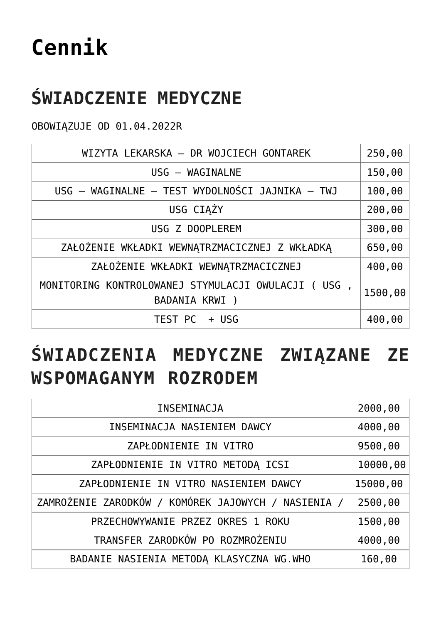# **[Cennik](https://www.gravita.info.pl/strona-glowna/cennik/)**

## **ŚWIADCZENIE MEDYCZNE**

OBOWIĄZUJE OD 01.04.2022R

| WIZYTA LEKARSKA - DR WOJCIECH GONTAREK                                | 250,00  |
|-----------------------------------------------------------------------|---------|
| USG - WAGINALNE                                                       | 150,00  |
| USG - WAGINALNE - TEST WYDOLNOŚCI JAJNIKA - TWJ                       | 100,00  |
| USG CIAŻY                                                             | 200,00  |
| USG Z DOOPLEREM                                                       | 300,00  |
| ZAŁOŻENIE WKŁADKI WEWNĄTRZMACICZNEJ Z WKŁADKĄ                         | 650,00  |
| ZAŁOŻENIE WKŁADKI WEWNĄTRZMACICZNEJ                                   | 400,00  |
| MONITORING KONTROLOWANEJ STYMULACJI OWULACJI ( USG ,<br>BADANIA KRWI) | 1500,00 |
| TEST PC + USG                                                         | 400,00  |

## **ŚWIADCZENIA MEDYCZNE ZWIĄZANE ZE WSPOMAGANYM ROZRODEM**

| INSEMINACJA                                         | 2000,00  |
|-----------------------------------------------------|----------|
| INSEMINACJA NASIENIEM DAWCY                         | 4000,00  |
| ZAPŁODNIENIE IN VITRO                               | 9500,00  |
| ZAPŁODNIENIE IN VITRO METODA ICSI                   | 10000,00 |
| ZAPŁODNIENIE IN VITRO NASIENIEM DAWCY               | 15000,00 |
| ZAMROŻENIE ZARODKÓW / KOMÓREK JAJOWYCH / NASIENIA / | 2500,00  |
| PRZECHOWYWANIE PRZEZ OKRES 1 ROKU                   | 1500,00  |
| TRANSFER ZARODKÓW PO ROZMROŻENIU                    | 4000,00  |
| BADANIE NASIENIA METODĄ KLASYCZNA WG.WHO            | 160,00   |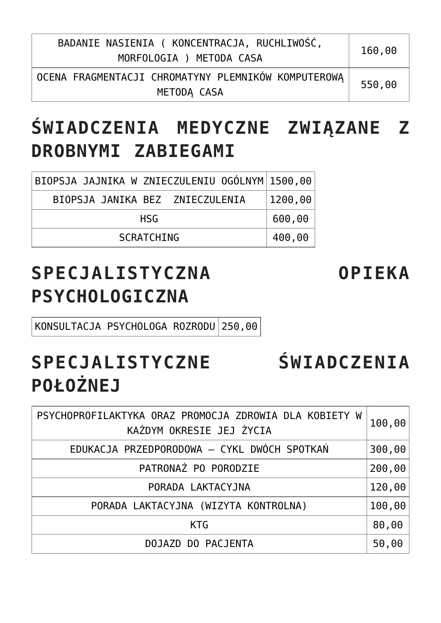| BADANIE NASIENIA (KONCENTRACJA, RUCHLIWOŚĆ,<br>MORFOLOGIA) METODA CASA | 160,00 |
|------------------------------------------------------------------------|--------|
| OCENA FRAGMENTACJI CHROMATYNY PLEMNIKÓW KOMPUTEROWA<br>METODA CASA     | 550,00 |

### **ŚWIADCZENIA MEDYCZNE ZWIĄZANE Z DROBNYMI ZABIEGAMI**

| BIOPSJA JAJNIKA W ZNIECZULENIU OGÓLNYM 1500,00 |                         |
|------------------------------------------------|-------------------------|
| BIOPSJA JANIKA BEZ ZNIECZULENIA                | $\vert$ 1200,00 $\vert$ |
| <b>HSG</b>                                     | 600,00                  |
| <b>SCRATCHING</b>                              | 400,00                  |

#### **SPECJALISTYCZNA OPIEKA PSYCHOLOGICZNA**

KONSULTACJA PSYCHOLOGA ROZRODU 250,00

### **SPECJALISTYCZNE ŚWIADCZENIA POŁOŻNEJ**

| PSYCHOPROFILAKTYKA ORAZ PROMOCJA ZDROWIA DLA KOBIETY W<br>KAŻDYM OKRESIE JEJ ŻYCIA | 100,00 |
|------------------------------------------------------------------------------------|--------|
| EDUKACJA PRZEDPORODOWA - CYKL DWÓCH SPOTKAŃ                                        | 300,00 |
| PATRONAZ PO PORODZIE                                                               | 200,00 |
| PORADA LAKTACYJNA                                                                  | 120,00 |
| PORADA LAKTACYJNA (WIZYTA KONTROLNA)                                               | 100,00 |
| <b>KTG</b>                                                                         | 80,00  |
| DOJAZD DO PACJENTA                                                                 | 50,00  |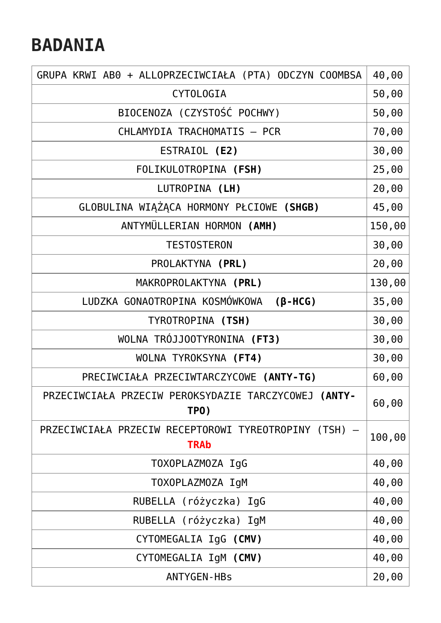#### **BADANIA**

| GRUPA KRWI AB0 + ALLOPRZECIWCIAŁA (PTA) ODCZYN COOMBSA               | 40,00  |
|----------------------------------------------------------------------|--------|
| <b>CYTOLOGIA</b>                                                     | 50,00  |
| BIOCENOZA (CZYSTOŚĆ POCHWY)                                          | 50,00  |
| CHLAMYDIA TRACHOMATIS - PCR                                          | 70,00  |
| ESTRAIOL (E2)                                                        | 30,00  |
| FOLIKULOTROPINA (FSH)                                                | 25,00  |
| LUTROPINA (LH)                                                       | 20,00  |
| GLOBULINA WIĄŻĄCA HORMONY PŁCIOWE (SHGB)                             | 45,00  |
| ANTYMÜLLERIAN HORMON (AMH)                                           | 150,00 |
| <b>TESTOSTERON</b>                                                   | 30,00  |
| PROLAKTYNA (PRL)                                                     | 20,00  |
| MAKROPROLAKTYNA (PRL)                                                | 130,00 |
| LUDZKA GONAOTROPINA KOSMÓWKOWA<br>$(\beta - HCG)$                    | 35,00  |
| TYROTROPINA (TSH)                                                    | 30,00  |
| WOLNA TRÓJJOOTYRONINA (FT3)                                          | 30,00  |
| WOLNA TYROKSYNA (FT4)                                                | 30,00  |
| PRECIWCIAŁA PRZECIWTARCZYCOWE (ANTY-TG)                              | 60,00  |
| PRZECIWCIAŁA PRZECIW PEROKSYDAZIE TARCZYCOWEJ (ANTY-<br>TPO)         | 60,00  |
| PRZECIWCIAŁA PRZECIW RECEPTOROWI TYREOTROPINY (TSH) -<br><b>TRAb</b> | 100,00 |
| TOXOPLAZMOZA IgG                                                     | 40,00  |
| TOXOPLAZMOZA IgM                                                     | 40,00  |
| RUBELLA (różyczka) IgG                                               | 40,00  |
| RUBELLA (różyczka) IgM                                               | 40,00  |
| CYTOMEGALIA IgG (CMV)                                                | 40,00  |
| CYTOMEGALIA IgM (CMV)                                                | 40,00  |
| <b>ANTYGEN-HBs</b>                                                   | 20,00  |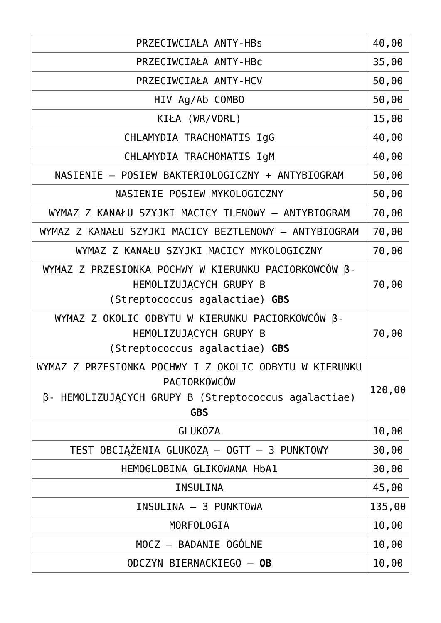| PRZECIWCIAŁA ANTY-HBs                                                                                                                        | 40,00  |
|----------------------------------------------------------------------------------------------------------------------------------------------|--------|
| PRZECIWCIAŁA ANTY-HBC                                                                                                                        | 35,00  |
| PRZECIWCIAŁA ANTY-HCV                                                                                                                        | 50,00  |
| HIV Ag/Ab COMBO                                                                                                                              | 50,00  |
| KIŁA (WR/VDRL)                                                                                                                               | 15,00  |
| CHLAMYDIA TRACHOMATIS IgG                                                                                                                    | 40,00  |
| CHLAMYDIA TRACHOMATIS IgM                                                                                                                    | 40,00  |
| NASIENIE - POSIEW BAKTERIOLOGICZNY + ANTYBIOGRAM                                                                                             | 50,00  |
| NASIENIE POSIEW MYKOLOGICZNY                                                                                                                 | 50,00  |
| WYMAZ Z KANAŁU SZYJKI MACICY TLENOWY - ANTYBIOGRAM                                                                                           | 70,00  |
| WYMAZ Z KANAŁU SZYJKI MACICY BEZTLENOWY - ANTYBIOGRAM                                                                                        | 70,00  |
| WYMAZ Z KANAŁU SZYJKI MACICY MYKOLOGICZNY                                                                                                    | 70,00  |
| WYMAZ Z PRZESIONKA POCHWY W KIERUNKU PACIORKOWCÓW B-<br>HEMOLIZUJĄCYCH GRUPY B<br>(Streptococcus agalactiae) GBS                             | 70,00  |
| WYMAZ Z OKOLIC ODBYTU W KIERUNKU PACIORKOWCÓW B-<br>HEMOLIZUJĄCYCH GRUPY B<br>(Streptococcus agalactiae) GBS                                 | 70,00  |
| WYMAZ Z PRZESIONKA POCHWY I Z OKOLIC ODBYTU W KIERUNKU<br>PACIORKOWCÓW<br>β- HEMOLIZUJĄCYCH GRUPY B (Streptococcus agalactiae)<br><b>GBS</b> | 120,00 |
| <b>GLUKOZA</b>                                                                                                                               | 10,00  |
| TEST OBCIĄŻENIA GLUKOZĄ – OGTT – 3 PUNKTOWY                                                                                                  | 30,00  |
| HEMOGLOBINA GLIKOWANA HbA1                                                                                                                   | 30,00  |
| INSULINA                                                                                                                                     | 45,00  |
| INSULINA - 3 PUNKTOWA                                                                                                                        | 135,00 |
| MORFOLOGIA                                                                                                                                   | 10,00  |
| MOCZ - BADANIE OGÓLNE                                                                                                                        | 10,00  |
| ODCZYN BIERNACKIEGO - OB                                                                                                                     | 10,00  |